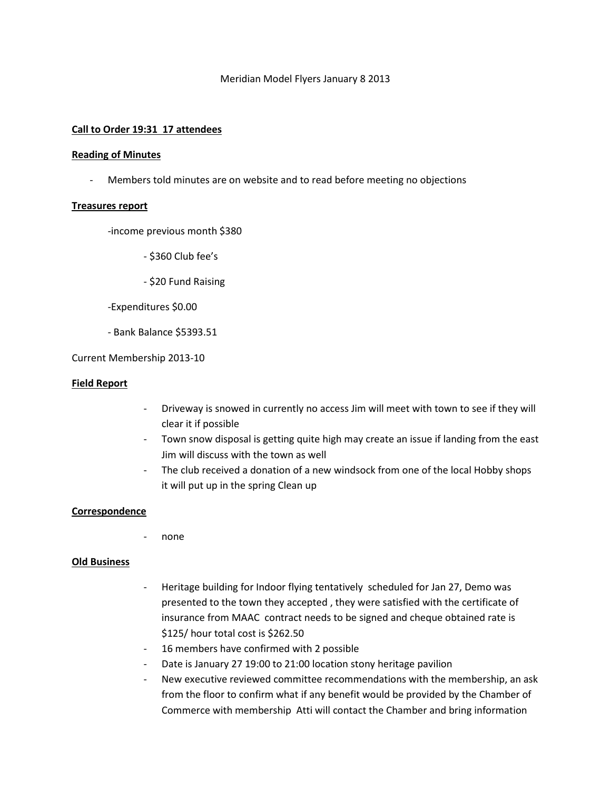### Meridian Model Flyers January 8 2013

## **Call to Order 19:31 17 attendees**

#### **Reading of Minutes**

- Members told minutes are on website and to read before meeting no objections

### **Treasures report**

-income previous month \$380

- \$360 Club fee's
- \$20 Fund Raising

-Expenditures \$0.00

- Bank Balance \$5393.51

Current Membership 2013-10

### **Field Report**

- Driveway is snowed in currently no access Jim will meet with town to see if they will clear it if possible
- Town snow disposal is getting quite high may create an issue if landing from the east Jim will discuss with the town as well
- The club received a donation of a new windsock from one of the local Hobby shops it will put up in the spring Clean up

### **Correspondence**

none

### **Old Business**

- Heritage building for Indoor flying tentatively scheduled for Jan 27, Demo was presented to the town they accepted , they were satisfied with the certificate of insurance from MAAC contract needs to be signed and cheque obtained rate is \$125/ hour total cost is \$262.50
- 16 members have confirmed with 2 possible
- Date is January 27 19:00 to 21:00 location stony heritage pavilion
- New executive reviewed committee recommendations with the membership, an ask from the floor to confirm what if any benefit would be provided by the Chamber of Commerce with membership Atti will contact the Chamber and bring information